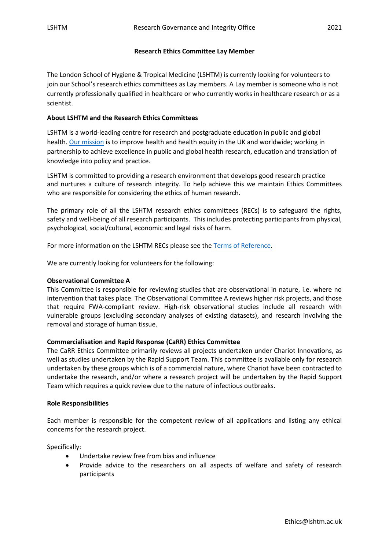## **Research Ethics Committee Lay Member**

The London School of Hygiene & Tropical Medicine (LSHTM) is currently looking for volunteers to join our School's research ethics committees as Lay members. A Lay member is someone who is not currently professionally qualified in healthcare or who currently works in healthcare research or as a scientist.

## **About LSHTM and the Research Ethics Committees**

LSHTM is a world-leading centre for research and postgraduate education in public and global health. [Our mission](https://www.lshtm.ac.uk/aboutus/introducing) is to improve health and health equity in the UK and worldwide; working in partnership to achieve excellence in public and global health research, education and translation of knowledge into policy and practice.

LSHTM is committed to providing a research environment that develops good research practice and nurtures a culture of research integrity. To help achieve this we maintain Ethics Committees who are responsible for considering the ethics of human research.

The primary role of all the LSHTM research ethics committees (RECs) is to safeguard the rights, safety and well-being of all research participants. This includes protecting participants from physical, psychological, social/cultural, economic and legal risks of harm.

For more information on the LSHTM RECs please see the [Terms of Reference.](https://www.lshtm.ac.uk/aboutus/organisation/governance/committees)

We are currently looking for volunteers for the following:

#### **Observational Committee A**

This Committee is responsible for reviewing studies that are observational in nature, i.e. where no intervention that takes place. The Observational Committee A reviews higher risk projects, and those that require FWA-compliant review. High-risk observational studies include all research with vulnerable groups (excluding secondary analyses of existing datasets), and research involving the removal and storage of human tissue.

#### **Commercialisation and Rapid Response (CaRR) Ethics Committee**

The CaRR Ethics Committee primarily reviews all projects undertaken under Chariot Innovations, as well as studies undertaken by the Rapid Support Team. This committee is available only for research undertaken by these groups which is of a commercial nature, where Chariot have been contracted to undertake the research, and/or where a research project will be undertaken by the Rapid Support Team which requires a quick review due to the nature of infectious outbreaks.

#### **Role Responsibilities**

Each member is responsible for the competent review of all applications and listing any ethical concerns for the research project.

Specifically:

- Undertake review free from bias and influence
- Provide advice to the researchers on all aspects of welfare and safety of research participants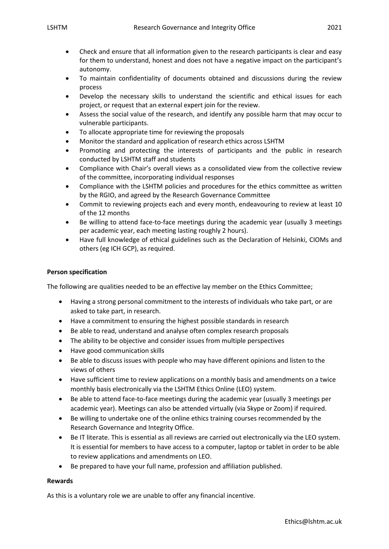- Check and ensure that all information given to the research participants is clear and easy for them to understand, honest and does not have a negative impact on the participant's autonomy.
- To maintain confidentiality of documents obtained and discussions during the review process
- Develop the necessary skills to understand the scientific and ethical issues for each project, or request that an external expert join for the review.
- Assess the social value of the research, and identify any possible harm that may occur to vulnerable participants.
- To allocate appropriate time for reviewing the proposals
- Monitor the standard and application of research ethics across LSHTM
- Promoting and protecting the interests of participants and the public in research conducted by LSHTM staff and students
- Compliance with Chair's overall views as a consolidated view from the collective review of the committee, incorporating individual responses
- Compliance with the LSHTM policies and procedures for the ethics committee as written by the RGIO, and agreed by the Research Governance Committee
- Commit to reviewing projects each and every month, endeavouring to review at least 10 of the 12 months
- Be willing to attend face-to-face meetings during the academic year (usually 3 meetings per academic year, each meeting lasting roughly 2 hours).
- Have full knowledge of ethical guidelines such as the Declaration of Helsinki, CIOMs and others (eg ICH GCP), as required.

## **Person specification**

The following are qualities needed to be an effective lay member on the Ethics Committee;

- Having a strong personal commitment to the interests of individuals who take part, or are asked to take part, in research.
- Have a commitment to ensuring the highest possible standards in research
- Be able to read, understand and analyse often complex research proposals
- The ability to be objective and consider issues from multiple perspectives
- Have good communication skills
- Be able to discuss issues with people who may have different opinions and listen to the views of others
- Have sufficient time to review applications on a monthly basis and amendments on a twice monthly basis electronically via the LSHTM Ethics Online (LEO) system.
- Be able to attend face-to-face meetings during the academic year (usually 3 meetings per academic year). Meetings can also be attended virtually (via Skype or Zoom) if required.
- Be willing to undertake one of the online ethics training courses recommended by the Research Governance and Integrity Office.
- Be IT literate. This is essential as all reviews are carried out electronically via the LEO system. It is essential for members to have access to a computer, laptop or tablet in order to be able to review applications and amendments on LEO.
- Be prepared to have your full name, profession and affiliation published.

# **Rewards**

As this is a voluntary role we are unable to offer any financial incentive.